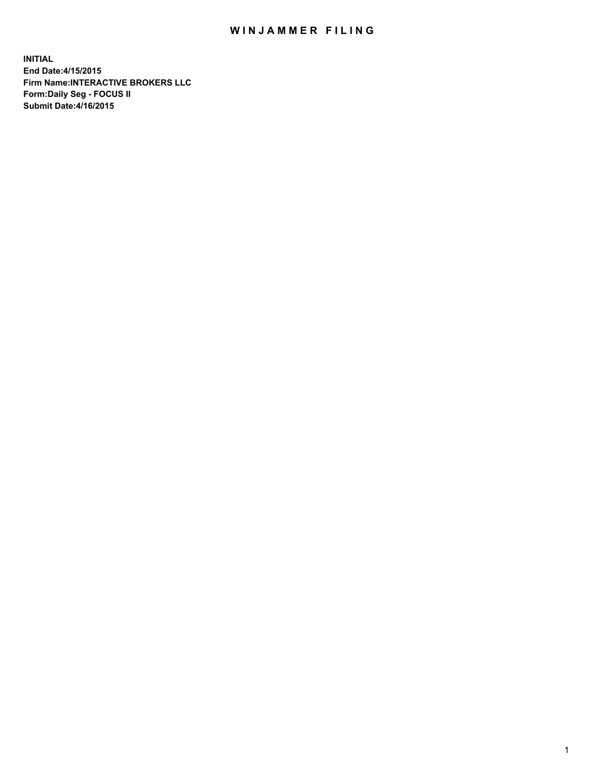## WIN JAMMER FILING

**INITIAL End Date:4/15/2015 Firm Name:INTERACTIVE BROKERS LLC Form:Daily Seg - FOCUS II Submit Date:4/16/2015**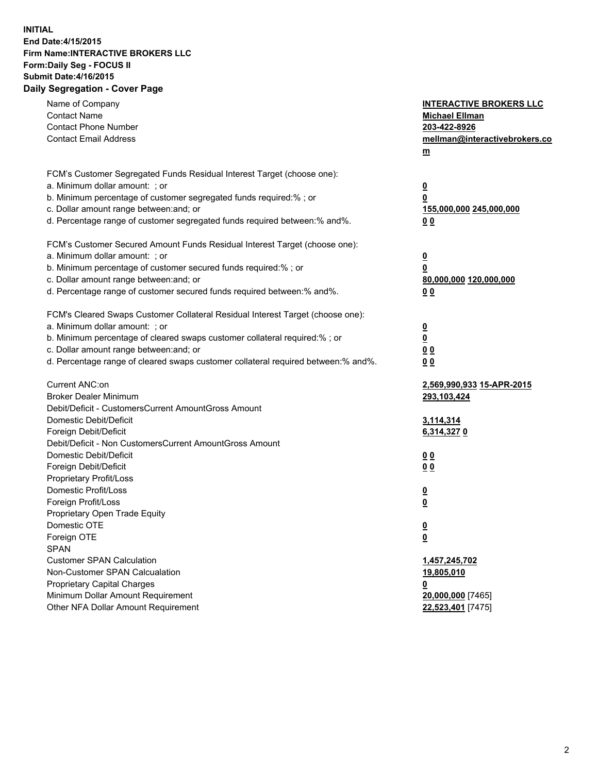## **INITIAL End Date:4/15/2015 Firm Name:INTERACTIVE BROKERS LLC Form:Daily Seg - FOCUS II Submit Date:4/16/2015 Daily Segregation - Cover Page**

| Name of Company<br><b>Contact Name</b><br><b>Contact Phone Number</b><br><b>Contact Email Address</b>                                                                                                                                                                                                                          | <b>INTERACTIVE BROKERS LLC</b><br><b>Michael Ellman</b><br>203-422-8926<br>mellman@interactivebrokers.co<br>$m$ |
|--------------------------------------------------------------------------------------------------------------------------------------------------------------------------------------------------------------------------------------------------------------------------------------------------------------------------------|-----------------------------------------------------------------------------------------------------------------|
| FCM's Customer Segregated Funds Residual Interest Target (choose one):<br>a. Minimum dollar amount: ; or<br>b. Minimum percentage of customer segregated funds required:% ; or<br>c. Dollar amount range between: and; or<br>d. Percentage range of customer segregated funds required between:% and%.                         | $\overline{\mathbf{0}}$<br>0<br>155,000,000 245,000,000<br>0 <sub>0</sub>                                       |
| FCM's Customer Secured Amount Funds Residual Interest Target (choose one):<br>a. Minimum dollar amount: ; or<br>b. Minimum percentage of customer secured funds required:% ; or<br>c. Dollar amount range between: and; or<br>d. Percentage range of customer secured funds required between:% and%.                           | $\overline{\mathbf{0}}$<br>0<br>80,000,000 120,000,000<br>0 <sub>0</sub>                                        |
| FCM's Cleared Swaps Customer Collateral Residual Interest Target (choose one):<br>a. Minimum dollar amount: ; or<br>b. Minimum percentage of cleared swaps customer collateral required:% ; or<br>c. Dollar amount range between: and; or<br>d. Percentage range of cleared swaps customer collateral required between:% and%. | $\overline{\mathbf{0}}$<br>$\underline{\mathbf{0}}$<br>0 <sub>0</sub><br>0 <sub>0</sub>                         |
| Current ANC:on<br><b>Broker Dealer Minimum</b><br>Debit/Deficit - CustomersCurrent AmountGross Amount<br>Domestic Debit/Deficit                                                                                                                                                                                                | 2,569,990,933 15-APR-2015<br>293,103,424<br>3,114,314                                                           |
| Foreign Debit/Deficit<br>Debit/Deficit - Non CustomersCurrent AmountGross Amount<br>Domestic Debit/Deficit<br>Foreign Debit/Deficit<br>Proprietary Profit/Loss<br>Domestic Profit/Loss                                                                                                                                         | 6,314,3270<br>0 <sub>0</sub><br>0 <sub>0</sub><br>$\overline{\mathbf{0}}$                                       |
| Foreign Profit/Loss<br>Proprietary Open Trade Equity<br>Domestic OTE<br>Foreign OTE<br><b>SPAN</b><br><b>Customer SPAN Calculation</b>                                                                                                                                                                                         | $\overline{\mathbf{0}}$<br>$\underline{\mathbf{0}}$<br><u>0</u><br>1,457,245,702                                |
| Non-Customer SPAN Calcualation<br><b>Proprietary Capital Charges</b><br>Minimum Dollar Amount Requirement<br>Other NFA Dollar Amount Requirement                                                                                                                                                                               | 19,805,010<br><u>0</u><br>20,000,000 [7465]<br>22,523,401 [7475]                                                |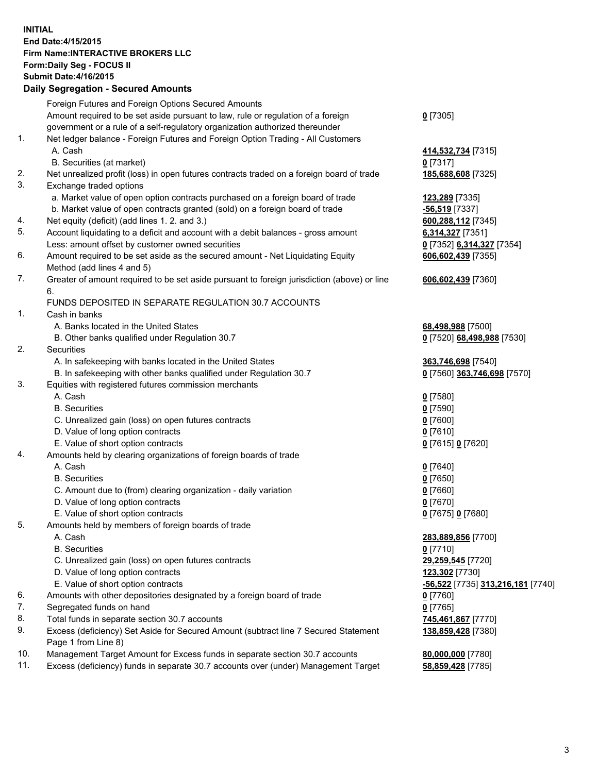## **INITIAL End Date:4/15/2015 Firm Name:INTERACTIVE BROKERS LLC Form:Daily Seg - FOCUS II Submit Date:4/16/2015 Daily Segregation - Secured Amounts**

|     | Dany Ocgregation - Oceanea Annoanta                                                                        |                                   |
|-----|------------------------------------------------------------------------------------------------------------|-----------------------------------|
|     | Foreign Futures and Foreign Options Secured Amounts                                                        |                                   |
|     | Amount required to be set aside pursuant to law, rule or regulation of a foreign                           | $0$ [7305]                        |
|     | government or a rule of a self-regulatory organization authorized thereunder                               |                                   |
| 1.  | Net ledger balance - Foreign Futures and Foreign Option Trading - All Customers                            |                                   |
|     | A. Cash                                                                                                    | 414,532,734 [7315]                |
|     | B. Securities (at market)                                                                                  | $0$ [7317]                        |
| 2.  | Net unrealized profit (loss) in open futures contracts traded on a foreign board of trade                  | 185,688,608 [7325]                |
| 3.  | Exchange traded options                                                                                    |                                   |
|     | a. Market value of open option contracts purchased on a foreign board of trade                             | <u>123,289</u> [7335]             |
|     | b. Market value of open contracts granted (sold) on a foreign board of trade                               | -56,519 [7337]                    |
| 4.  | Net equity (deficit) (add lines 1.2. and 3.)                                                               | 600,288,112 [7345]                |
| 5.  | Account liquidating to a deficit and account with a debit balances - gross amount                          | 6,314,327 [7351]                  |
|     | Less: amount offset by customer owned securities                                                           | 0 [7352] 6,314,327 [7354]         |
| 6.  | Amount required to be set aside as the secured amount - Net Liquidating Equity                             | 606,602,439 [7355]                |
|     | Method (add lines 4 and 5)                                                                                 |                                   |
| 7.  | Greater of amount required to be set aside pursuant to foreign jurisdiction (above) or line                | 606,602,439 [7360]                |
|     | 6.                                                                                                         |                                   |
|     | FUNDS DEPOSITED IN SEPARATE REGULATION 30.7 ACCOUNTS                                                       |                                   |
| 1.  | Cash in banks                                                                                              |                                   |
|     | A. Banks located in the United States                                                                      | 68,498,988 [7500]                 |
|     | B. Other banks qualified under Regulation 30.7                                                             | 0 [7520] 68,498,988 [7530]        |
| 2.  | Securities                                                                                                 |                                   |
|     | A. In safekeeping with banks located in the United States                                                  | 363,746,698 [7540]                |
|     | B. In safekeeping with other banks qualified under Regulation 30.7                                         | 0 [7560] 363,746,698 [7570]       |
| 3.  | Equities with registered futures commission merchants                                                      |                                   |
|     | A. Cash                                                                                                    | $0$ [7580]                        |
|     | <b>B.</b> Securities                                                                                       | $0$ [7590]                        |
|     | C. Unrealized gain (loss) on open futures contracts                                                        | $0$ [7600]                        |
|     | D. Value of long option contracts                                                                          | $0$ [7610]                        |
|     | E. Value of short option contracts                                                                         | 0 [7615] 0 [7620]                 |
| 4.  | Amounts held by clearing organizations of foreign boards of trade                                          |                                   |
|     | A. Cash                                                                                                    | $0$ [7640]                        |
|     | <b>B.</b> Securities                                                                                       | $0$ [7650]                        |
|     | C. Amount due to (from) clearing organization - daily variation                                            | $0$ [7660]                        |
|     | D. Value of long option contracts                                                                          | $0$ [7670]                        |
|     | E. Value of short option contracts                                                                         | 0 [7675] 0 [7680]                 |
| 5.  | Amounts held by members of foreign boards of trade                                                         |                                   |
|     | A. Cash                                                                                                    | 283,889,856 [7700]                |
|     | <b>B.</b> Securities                                                                                       | $0$ [7710]                        |
|     | C. Unrealized gain (loss) on open futures contracts                                                        | 29,259,545 [7720]                 |
|     | D. Value of long option contracts                                                                          | 123,302 [7730]                    |
|     | E. Value of short option contracts                                                                         | -56,522 [7735] 313,216,181 [7740] |
| 6.  | Amounts with other depositories designated by a foreign board of trade                                     | 0 [7760]                          |
| 7.  | Segregated funds on hand                                                                                   | $0$ [7765]                        |
| 8.  | Total funds in separate section 30.7 accounts                                                              | 745,461,867 [7770]                |
| 9.  | Excess (deficiency) Set Aside for Secured Amount (subtract line 7 Secured Statement<br>Page 1 from Line 8) | 138,859,428 [7380]                |
| 10. | Management Target Amount for Excess funds in separate section 30.7 accounts                                | 80,000,000 [7780]                 |
| 11. | Excess (deficiency) funds in separate 30.7 accounts over (under) Management Target                         | 58,859,428 [7785]                 |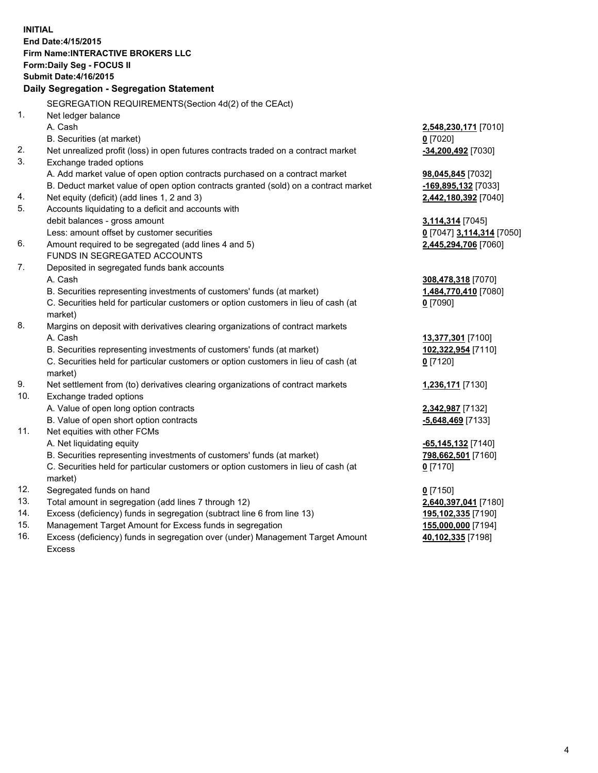**INITIAL End Date:4/15/2015 Firm Name:INTERACTIVE BROKERS LLC Form:Daily Seg - FOCUS II Submit Date:4/16/2015 Daily Segregation - Segregation Statement** SEGREGATION REQUIREMENTS(Section 4d(2) of the CEAct) 1. Net ledger balance A. Cash **2,548,230,171** [7010] B. Securities (at market) **0** [7020] 2. Net unrealized profit (loss) in open futures contracts traded on a contract market **-34,200,492** [7030] 3. Exchange traded options A. Add market value of open option contracts purchased on a contract market **98,045,845** [7032] B. Deduct market value of open option contracts granted (sold) on a contract market **-169,895,132** [7033] 4. Net equity (deficit) (add lines 1, 2 and 3) **2,442,180,392** [7040] 5. Accounts liquidating to a deficit and accounts with debit balances - gross amount **3,114,314** [7045] Less: amount offset by customer securities **0** [7047] **3,114,314** [7050] 6. Amount required to be segregated (add lines 4 and 5) **2,445,294,706** [7060] FUNDS IN SEGREGATED ACCOUNTS 7. Deposited in segregated funds bank accounts A. Cash **308,478,318** [7070] B. Securities representing investments of customers' funds (at market) **1,484,770,410** [7080] C. Securities held for particular customers or option customers in lieu of cash (at market) **0** [7090] 8. Margins on deposit with derivatives clearing organizations of contract markets A. Cash **13,377,301** [7100] B. Securities representing investments of customers' funds (at market) **102,322,954** [7110] C. Securities held for particular customers or option customers in lieu of cash (at market) **0** [7120] 9. Net settlement from (to) derivatives clearing organizations of contract markets **1,236,171** [7130] 10. Exchange traded options A. Value of open long option contracts **2,342,987** [7132] B. Value of open short option contracts **-5,648,469** [7133] 11. Net equities with other FCMs A. Net liquidating equity **-65,145,132** [7140] B. Securities representing investments of customers' funds (at market) **798,662,501** [7160] C. Securities held for particular customers or option customers in lieu of cash (at market) **0** [7170] 12. Segregated funds on hand **0** [7150] 13. Total amount in segregation (add lines 7 through 12) **2,640,397,041** [7180] 14. Excess (deficiency) funds in segregation (subtract line 6 from line 13) **195,102,335** [7190] 15. Management Target Amount for Excess funds in segregation **155,000,000** [7194]

16. Excess (deficiency) funds in segregation over (under) Management Target Amount Excess

**40,102,335** [7198]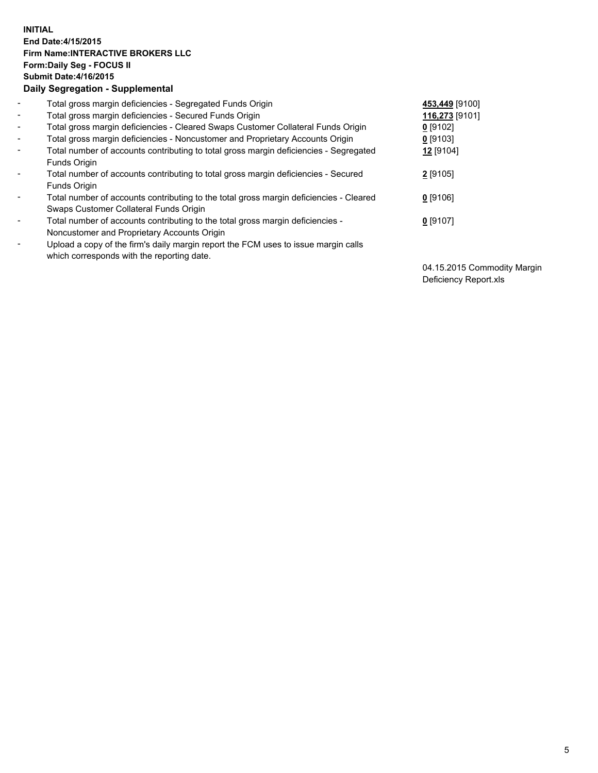## **INITIAL End Date:4/15/2015 Firm Name:INTERACTIVE BROKERS LLC Form:Daily Seg - FOCUS II Submit Date:4/16/2015 Daily Segregation - Supplemental**

| $\blacksquare$           | Total gross margin deficiencies - Segregated Funds Origin                              | 453,449 [9100] |
|--------------------------|----------------------------------------------------------------------------------------|----------------|
| $\blacksquare$           | Total gross margin deficiencies - Secured Funds Origin                                 | 116,273 [9101] |
| $\blacksquare$           | Total gross margin deficiencies - Cleared Swaps Customer Collateral Funds Origin       | $0$ [9102]     |
| $\blacksquare$           | Total gross margin deficiencies - Noncustomer and Proprietary Accounts Origin          | 0 [9103]       |
| $\blacksquare$           | Total number of accounts contributing to total gross margin deficiencies - Segregated  | 12 [9104]      |
|                          | <b>Funds Origin</b>                                                                    |                |
| $\blacksquare$           | Total number of accounts contributing to total gross margin deficiencies - Secured     | 2 [9105]       |
|                          | Funds Origin                                                                           |                |
| $\overline{\phantom{a}}$ | Total number of accounts contributing to the total gross margin deficiencies - Cleared | $0$ [9106]     |
|                          | Swaps Customer Collateral Funds Origin                                                 |                |
| $\blacksquare$           | Total number of accounts contributing to the total gross margin deficiencies -         | $0$ [9107]     |
|                          | Noncustomer and Proprietary Accounts Origin                                            |                |
| $\blacksquare$           | Upload a copy of the firm's daily margin report the FCM uses to issue margin calls     |                |
|                          | which corresponds with the reporting date.                                             |                |

04.15.2015 Commodity Margin Deficiency Report.xls